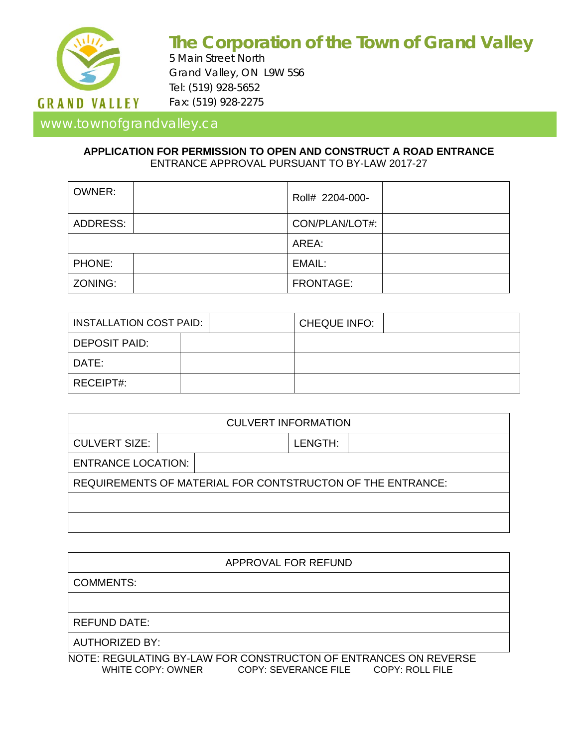

# **The Corporation of the Town of Grand Valley**

5 Main Street North Grand Valley, ON L9W 5S6 Tel: (519) 928-5652 Fax: (519) 928-2275

## www.townofgrandvalley.ca

#### **APPLICATION FOR PERMISSION TO OPEN AND CONSTRUCT A ROAD ENTRANCE** ENTRANCE APPROVAL PURSUANT TO BY-LAW 2017-27

| <b>OWNER:</b> |  | Roll# 2204-000- |  |
|---------------|--|-----------------|--|
| ADDRESS:      |  | CON/PLAN/LOT#:  |  |
|               |  | AREA:           |  |
| PHONE:        |  | EMAIL:          |  |
| ZONING:       |  | FRONTAGE:       |  |

| I INSTALLATION COST PAID: |  | CHEQUE INFO: |  |
|---------------------------|--|--------------|--|
| DEPOSIT PAID:             |  |              |  |
| l DATE:                   |  |              |  |
| RECEIPT#:                 |  |              |  |

| <b>CULVERT INFORMATION</b>                                 |  |  |         |  |  |  |
|------------------------------------------------------------|--|--|---------|--|--|--|
| <b>CULVERT SIZE:</b>                                       |  |  | LENGTH: |  |  |  |
| <b>ENTRANCE LOCATION:</b>                                  |  |  |         |  |  |  |
| REQUIREMENTS OF MATERIAL FOR CONTSTRUCTON OF THE ENTRANCE: |  |  |         |  |  |  |
|                                                            |  |  |         |  |  |  |
|                                                            |  |  |         |  |  |  |

| APPROVAL FOR REFUND                                             |  |  |
|-----------------------------------------------------------------|--|--|
| <b>COMMENTS:</b>                                                |  |  |
|                                                                 |  |  |
| <b>REFUND DATE:</b>                                             |  |  |
| <b>AUTHORIZED BY:</b>                                           |  |  |
| NOTE, DECHEATING BY LAW FOR CONCTRUCTON OF FNTRANCES ON REVERSE |  |  |

NOTE: REGULATING BY-LAW FOR CONSTRUCTON OF ENTRANCES ON REVERSE WHITE COPY: OWNER COPY: SEVERANCE FILE COPY: ROLL FILE